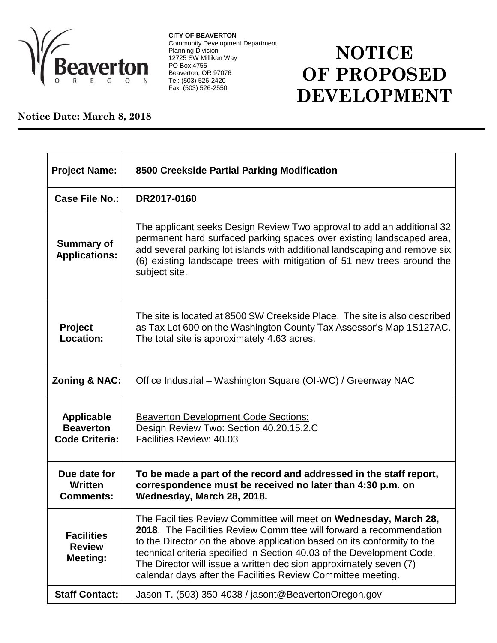

**CITY OF BEAVERTON** Community Development Department Planning Division 12725 SW Millikan Way PO Box 4755 Beaverton, OR 97076 Tel: (503) 526-2420 Fax: (503) 526-2550

## **NOTICE OF PROPOSED DEVELOPMENT**

## **Notice Date: March 8, 2018**

| <b>Project Name:</b>                                           | 8500 Creekside Partial Parking Modification                                                                                                                                                                                                                                                                                                                                                                                         |
|----------------------------------------------------------------|-------------------------------------------------------------------------------------------------------------------------------------------------------------------------------------------------------------------------------------------------------------------------------------------------------------------------------------------------------------------------------------------------------------------------------------|
| <b>Case File No.:</b>                                          | DR2017-0160                                                                                                                                                                                                                                                                                                                                                                                                                         |
| <b>Summary of</b><br><b>Applications:</b>                      | The applicant seeks Design Review Two approval to add an additional 32<br>permanent hard surfaced parking spaces over existing landscaped area,<br>add several parking lot islands with additional landscaping and remove six<br>(6) existing landscape trees with mitigation of 51 new trees around the<br>subject site.                                                                                                           |
| Project<br><b>Location:</b>                                    | The site is located at 8500 SW Creekside Place. The site is also described<br>as Tax Lot 600 on the Washington County Tax Assessor's Map 1S127AC.<br>The total site is approximately 4.63 acres.                                                                                                                                                                                                                                    |
| <b>Zoning &amp; NAC:</b>                                       | Office Industrial - Washington Square (OI-WC) / Greenway NAC                                                                                                                                                                                                                                                                                                                                                                        |
| <b>Applicable</b><br><b>Beaverton</b><br><b>Code Criteria:</b> | <b>Beaverton Development Code Sections:</b><br>Design Review Two: Section 40.20.15.2.C<br>Facilities Review: 40.03                                                                                                                                                                                                                                                                                                                  |
| Due date for<br>Written<br><b>Comments:</b>                    | To be made a part of the record and addressed in the staff report,<br>correspondence must be received no later than 4:30 p.m. on<br>Wednesday, March 28, 2018.                                                                                                                                                                                                                                                                      |
| <b>Facilities</b><br><b>Review</b><br><b>Meeting:</b>          | The Facilities Review Committee will meet on Wednesday, March 28,<br>2018. The Facilities Review Committee will forward a recommendation<br>to the Director on the above application based on its conformity to the<br>technical criteria specified in Section 40.03 of the Development Code.<br>The Director will issue a written decision approximately seven (7)<br>calendar days after the Facilities Review Committee meeting. |
| <b>Staff Contact:</b>                                          | Jason T. (503) 350-4038 / jasont@BeavertonOregon.gov                                                                                                                                                                                                                                                                                                                                                                                |